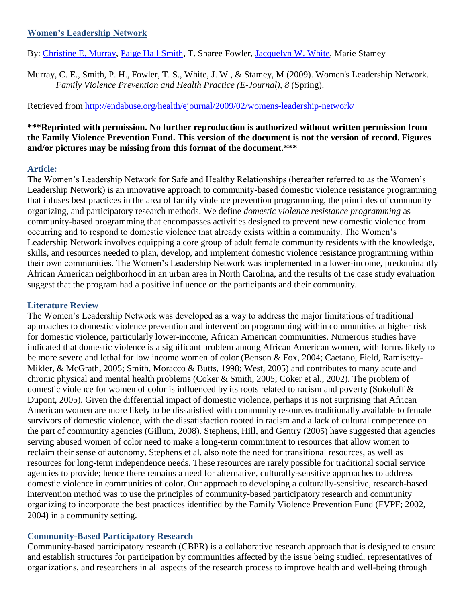### **[Women's Leadership Network](http://endabuse.org/health/ejournal/2009/02/womens-leadership-network/)**

By: [Christine E. Murray,](http://libres.uncg.edu/ir/uncg/clist.aspx?id=894) [Paige Hall Smith,](http://libres.uncg.edu/ir/uncg/clist.aspx?id=1606) T. Sharee Fowler, [Jacquelyn W. White,](http://libres.uncg.edu/ir/uncg/clist.aspx?id=475) Marie Stamey

Murray, C. E., Smith, P. H., Fowler, T. S., White, J. W., & Stamey, M (2009). Women's Leadership Network. *Family Violence Prevention and Health Practice (E-Journal), 8* (Spring).

Retrieved from<http://endabuse.org/health/ejournal/2009/02/womens-leadership-network/>

## **\*\*\*Reprinted with permission. No further reproduction is authorized without written permission from the Family Violence Prevention Fund. This version of the document is not the version of record. Figures and/or pictures may be missing from this format of the document.\*\*\***

### **Article:**

The Women's Leadership Network for Safe and Healthy Relationships (hereafter referred to as the Women's Leadership Network) is an innovative approach to community-based domestic violence resistance programming that infuses best practices in the area of family violence prevention programming, the principles of community organizing, and participatory research methods. We define *domestic violence resistance programming* as community-based programming that encompasses activities designed to prevent new domestic violence from occurring and to respond to domestic violence that already exists within a community. The Women's Leadership Network involves equipping a core group of adult female community residents with the knowledge, skills, and resources needed to plan, develop, and implement domestic violence resistance programming within their own communities. The Women's Leadership Network was implemented in a lower-income, predominantly African American neighborhood in an urban area in North Carolina, and the results of the case study evaluation suggest that the program had a positive influence on the participants and their community.

## **Literature Review**

The Women's Leadership Network was developed as a way to address the major limitations of traditional approaches to domestic violence prevention and intervention programming within communities at higher risk for domestic violence, particularly lower-income, African American communities. Numerous studies have indicated that domestic violence is a significant problem among African American women, with forms likely to be more severe and lethal for low income women of color (Benson & Fox, 2004; Caetano, Field, Ramisetty-Mikler, & McGrath, 2005; Smith, Moracco & Butts, 1998; West, 2005) and contributes to many acute and chronic physical and mental health problems (Coker & Smith, 2005; Coker et al., 2002). The problem of domestic violence for women of color is influenced by its roots related to racism and poverty (Sokoloff & Dupont, 2005). Given the differential impact of domestic violence, perhaps it is not surprising that African American women are more likely to be dissatisfied with community resources traditionally available to female survivors of domestic violence, with the dissatisfaction rooted in racism and a lack of cultural competence on the part of community agencies (Gillum, 2008). Stephens, Hill, and Gentry (2005) have suggested that agencies serving abused women of color need to make a long-term commitment to resources that allow women to reclaim their sense of autonomy. Stephens et al. also note the need for transitional resources, as well as resources for long-term independence needs. These resources are rarely possible for traditional social service agencies to provide; hence there remains a need for alternative, culturally-sensitive approaches to address domestic violence in communities of color. Our approach to developing a culturally-sensitive, research-based intervention method was to use the principles of community-based participatory research and community organizing to incorporate the best practices identified by the Family Violence Prevention Fund (FVPF; 2002, 2004) in a community setting.

# **Community-Based Participatory Research**

Community-based participatory research (CBPR) is a collaborative research approach that is designed to ensure and establish structures for participation by communities affected by the issue being studied, representatives of organizations, and researchers in all aspects of the research process to improve health and well-being through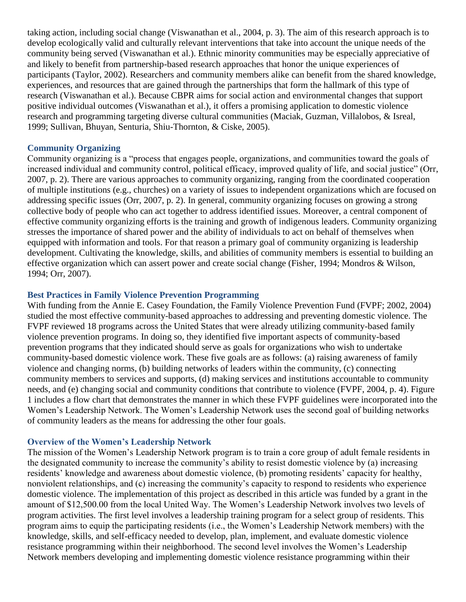taking action, including social change (Viswanathan et al., 2004, p. 3). The aim of this research approach is to develop ecologically valid and culturally relevant interventions that take into account the unique needs of the community being served (Viswanathan et al.). Ethnic minority communities may be especially appreciative of and likely to benefit from partnership-based research approaches that honor the unique experiences of participants (Taylor, 2002). Researchers and community members alike can benefit from the shared knowledge, experiences, and resources that are gained through the partnerships that form the hallmark of this type of research (Viswanathan et al.). Because CBPR aims for social action and environmental changes that support positive individual outcomes (Viswanathan et al.), it offers a promising application to domestic violence research and programming targeting diverse cultural communities (Maciak, Guzman, Villalobos, & Isreal, 1999; Sullivan, Bhuyan, Senturia, Shiu-Thornton, & Ciske, 2005).

#### **Community Organizing**

Community organizing is a "process that engages people, organizations, and communities toward the goals of increased individual and community control, political efficacy, improved quality of life, and social justice" (Orr, 2007, p. 2). There are various approaches to community organizing, ranging from the coordinated cooperation of multiple institutions (e.g., churches) on a variety of issues to independent organizations which are focused on addressing specific issues (Orr, 2007, p. 2). In general, community organizing focuses on growing a strong collective body of people who can act together to address identified issues. Moreover, a central component of effective community organizing efforts is the training and growth of indigenous leaders. Community organizing stresses the importance of shared power and the ability of individuals to act on behalf of themselves when equipped with information and tools. For that reason a primary goal of community organizing is leadership development. Cultivating the knowledge, skills, and abilities of community members is essential to building an effective organization which can assert power and create social change (Fisher, 1994; Mondros & Wilson, 1994; Orr, 2007).

#### **Best Practices in Family Violence Prevention Programming**

With funding from the Annie E. Casey Foundation, the Family Violence Prevention Fund (FVPF; 2002, 2004) studied the most effective community-based approaches to addressing and preventing domestic violence. The FVPF reviewed 18 programs across the United States that were already utilizing community-based family violence prevention programs. In doing so, they identified five important aspects of community-based prevention programs that they indicated should serve as goals for organizations who wish to undertake community-based domestic violence work. These five goals are as follows: (a) raising awareness of family violence and changing norms, (b) building networks of leaders within the community, (c) connecting community members to services and supports, (d) making services and institutions accountable to community needs, and (e) changing social and community conditions that contribute to violence (FVPF, 2004, p. 4). Figure 1 includes a flow chart that demonstrates the manner in which these FVPF guidelines were incorporated into the Women's Leadership Network. The Women's Leadership Network uses the second goal of building networks of community leaders as the means for addressing the other four goals.

#### **Overview of the Women's Leadership Network**

The mission of the Women's Leadership Network program is to train a core group of adult female residents in the designated community to increase the community's ability to resist domestic violence by (a) increasing residents' knowledge and awareness about domestic violence, (b) promoting residents' capacity for healthy, nonviolent relationships, and (c) increasing the community's capacity to respond to residents who experience domestic violence. The implementation of this project as described in this article was funded by a grant in the amount of \$12,500.00 from the local United Way. The Women's Leadership Network involves two levels of program activities. The first level involves a leadership training program for a select group of residents. This program aims to equip the participating residents (i.e., the Women's Leadership Network members) with the knowledge, skills, and self-efficacy needed to develop, plan, implement, and evaluate domestic violence resistance programming within their neighborhood. The second level involves the Women's Leadership Network members developing and implementing domestic violence resistance programming within their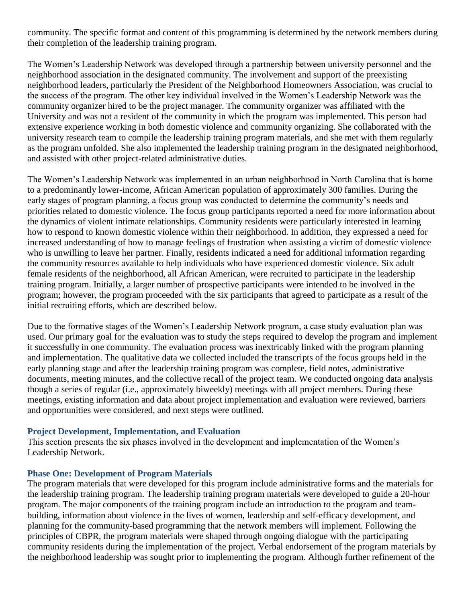community. The specific format and content of this programming is determined by the network members during their completion of the leadership training program.

The Women's Leadership Network was developed through a partnership between university personnel and the neighborhood association in the designated community. The involvement and support of the preexisting neighborhood leaders, particularly the President of the Neighborhood Homeowners Association, was crucial to the success of the program. The other key individual involved in the Women's Leadership Network was the community organizer hired to be the project manager. The community organizer was affiliated with the University and was not a resident of the community in which the program was implemented. This person had extensive experience working in both domestic violence and community organizing. She collaborated with the university research team to compile the leadership training program materials, and she met with them regularly as the program unfolded. She also implemented the leadership training program in the designated neighborhood, and assisted with other project-related administrative duties.

The Women's Leadership Network was implemented in an urban neighborhood in North Carolina that is home to a predominantly lower-income, African American population of approximately 300 families. During the early stages of program planning, a focus group was conducted to determine the community's needs and priorities related to domestic violence. The focus group participants reported a need for more information about the dynamics of violent intimate relationships. Community residents were particularly interested in learning how to respond to known domestic violence within their neighborhood. In addition, they expressed a need for increased understanding of how to manage feelings of frustration when assisting a victim of domestic violence who is unwilling to leave her partner. Finally, residents indicated a need for additional information regarding the community resources available to help individuals who have experienced domestic violence. Six adult female residents of the neighborhood, all African American, were recruited to participate in the leadership training program. Initially, a larger number of prospective participants were intended to be involved in the program; however, the program proceeded with the six participants that agreed to participate as a result of the initial recruiting efforts, which are described below.

Due to the formative stages of the Women's Leadership Network program, a case study evaluation plan was used. Our primary goal for the evaluation was to study the steps required to develop the program and implement it successfully in one community. The evaluation process was inextricably linked with the program planning and implementation. The qualitative data we collected included the transcripts of the focus groups held in the early planning stage and after the leadership training program was complete, field notes, administrative documents, meeting minutes, and the collective recall of the project team. We conducted ongoing data analysis though a series of regular (i.e., approximately biweekly) meetings with all project members. During these meetings, existing information and data about project implementation and evaluation were reviewed, barriers and opportunities were considered, and next steps were outlined.

### **Project Development, Implementation, and Evaluation**

This section presents the six phases involved in the development and implementation of the Women's Leadership Network.

### **Phase One: Development of Program Materials**

The program materials that were developed for this program include administrative forms and the materials for the leadership training program. The leadership training program materials were developed to guide a 20-hour program. The major components of the training program include an introduction to the program and teambuilding, information about violence in the lives of women, leadership and self-efficacy development, and planning for the community-based programming that the network members will implement. Following the principles of CBPR, the program materials were shaped through ongoing dialogue with the participating community residents during the implementation of the project. Verbal endorsement of the program materials by the neighborhood leadership was sought prior to implementing the program. Although further refinement of the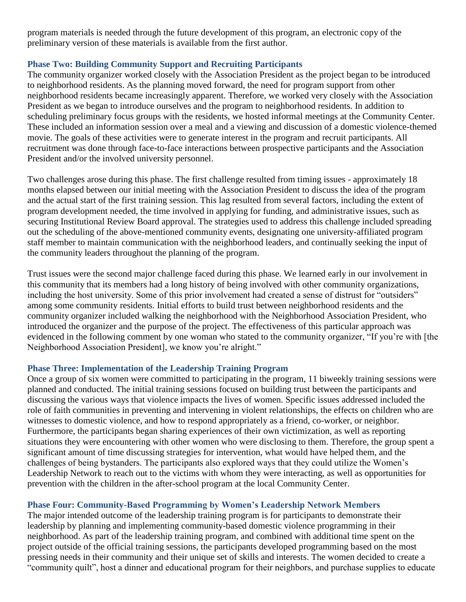program materials is needed through the future development of this program, an electronic copy of the preliminary version of these materials is available from the first author.

## **Phase Two: Building Community Support and Recruiting Participants**

The community organizer worked closely with the Association President as the project began to be introduced to neighborhood residents. As the planning moved forward, the need for program support from other neighborhood residents became increasingly apparent. Therefore, we worked very closely with the Association President as we began to introduce ourselves and the program to neighborhood residents. In addition to scheduling preliminary focus groups with the residents, we hosted informal meetings at the Community Center. These included an information session over a meal and a viewing and discussion of a domestic violence-themed movie. The goals of these activities were to generate interest in the program and recruit participants. All recruitment was done through face-to-face interactions between prospective participants and the Association President and/or the involved university personnel.

Two challenges arose during this phase. The first challenge resulted from timing issues - approximately 18 months elapsed between our initial meeting with the Association President to discuss the idea of the program and the actual start of the first training session. This lag resulted from several factors, including the extent of program development needed, the time involved in applying for funding, and administrative issues, such as securing Institutional Review Board approval. The strategies used to address this challenge included spreading out the scheduling of the above-mentioned community events, designating one university-affiliated program staff member to maintain communication with the neighborhood leaders, and continually seeking the input of the community leaders throughout the planning of the program.

Trust issues were the second major challenge faced during this phase. We learned early in our involvement in this community that its members had a long history of being involved with other community organizations, including the host university. Some of this prior involvement had created a sense of distrust for "outsiders" among some community residents. Initial efforts to build trust between neighborhood residents and the community organizer included walking the neighborhood with the Neighborhood Association President, who introduced the organizer and the purpose of the project. The effectiveness of this particular approach was evidenced in the following comment by one woman who stated to the community organizer, "If you're with [the Neighborhood Association President], we know you're alright."

### **Phase Three: Implementation of the Leadership Training Program**

Once a group of six women were committed to participating in the program, 11 biweekly training sessions were planned and conducted. The initial training sessions focused on building trust between the participants and discussing the various ways that violence impacts the lives of women. Specific issues addressed included the role of faith communities in preventing and intervening in violent relationships, the effects on children who are witnesses to domestic violence, and how to respond appropriately as a friend, co-worker, or neighbor. Furthermore, the participants began sharing experiences of their own victimization, as well as reporting situations they were encountering with other women who were disclosing to them. Therefore, the group spent a significant amount of time discussing strategies for intervention, what would have helped them, and the challenges of being bystanders. The participants also explored ways that they could utilize the Women's Leadership Network to reach out to the victims with whom they were interacting, as well as opportunities for prevention with the children in the after-school program at the local Community Center.

# **Phase Four: Community-Based Programming by Women's Leadership Network Members**

The major intended outcome of the leadership training program is for participants to demonstrate their leadership by planning and implementing community-based domestic violence programming in their neighborhood. As part of the leadership training program, and combined with additional time spent on the project outside of the official training sessions, the participants developed programming based on the most pressing needs in their community and their unique set of skills and interests. The women decided to create a "community quilt", host a dinner and educational program for their neighbors, and purchase supplies to educate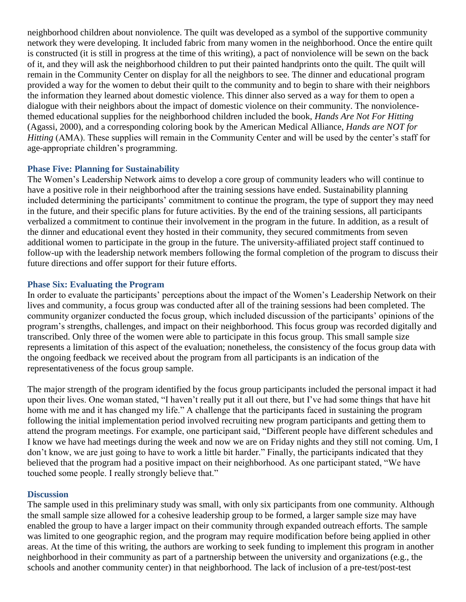neighborhood children about nonviolence. The quilt was developed as a symbol of the supportive community network they were developing. It included fabric from many women in the neighborhood. Once the entire quilt is constructed (it is still in progress at the time of this writing), a pact of nonviolence will be sewn on the back of it, and they will ask the neighborhood children to put their painted handprints onto the quilt. The quilt will remain in the Community Center on display for all the neighbors to see. The dinner and educational program provided a way for the women to debut their quilt to the community and to begin to share with their neighbors the information they learned about domestic violence. This dinner also served as a way for them to open a dialogue with their neighbors about the impact of domestic violence on their community. The nonviolencethemed educational supplies for the neighborhood children included the book, *Hands Are Not For Hitting* (Agassi, 2000), and a corresponding coloring book by the American Medical Alliance, *Hands are NOT for Hitting* (AMA). These supplies will remain in the Community Center and will be used by the center's staff for age-appropriate children's programming.

### **Phase Five: Planning for Sustainability**

The Women's Leadership Network aims to develop a core group of community leaders who will continue to have a positive role in their neighborhood after the training sessions have ended. Sustainability planning included determining the participants' commitment to continue the program, the type of support they may need in the future, and their specific plans for future activities. By the end of the training sessions, all participants verbalized a commitment to continue their involvement in the program in the future. In addition, as a result of the dinner and educational event they hosted in their community, they secured commitments from seven additional women to participate in the group in the future. The university-affiliated project staff continued to follow-up with the leadership network members following the formal completion of the program to discuss their future directions and offer support for their future efforts.

### **Phase Six: Evaluating the Program**

In order to evaluate the participants' perceptions about the impact of the Women's Leadership Network on their lives and community, a focus group was conducted after all of the training sessions had been completed. The community organizer conducted the focus group, which included discussion of the participants' opinions of the program's strengths, challenges, and impact on their neighborhood. This focus group was recorded digitally and transcribed. Only three of the women were able to participate in this focus group. This small sample size represents a limitation of this aspect of the evaluation; nonetheless, the consistency of the focus group data with the ongoing feedback we received about the program from all participants is an indication of the representativeness of the focus group sample.

The major strength of the program identified by the focus group participants included the personal impact it had upon their lives. One woman stated, "I haven't really put it all out there, but I've had some things that have hit home with me and it has changed my life." A challenge that the participants faced in sustaining the program following the initial implementation period involved recruiting new program participants and getting them to attend the program meetings. For example, one participant said, "Different people have different schedules and I know we have had meetings during the week and now we are on Friday nights and they still not coming. Um, I don't know, we are just going to have to work a little bit harder." Finally, the participants indicated that they believed that the program had a positive impact on their neighborhood. As one participant stated, "We have touched some people. I really strongly believe that."

### **Discussion**

The sample used in this preliminary study was small, with only six participants from one community. Although the small sample size allowed for a cohesive leadership group to be formed, a larger sample size may have enabled the group to have a larger impact on their community through expanded outreach efforts. The sample was limited to one geographic region, and the program may require modification before being applied in other areas. At the time of this writing, the authors are working to seek funding to implement this program in another neighborhood in their community as part of a partnership between the university and organizations (e.g., the schools and another community center) in that neighborhood. The lack of inclusion of a pre-test/post-test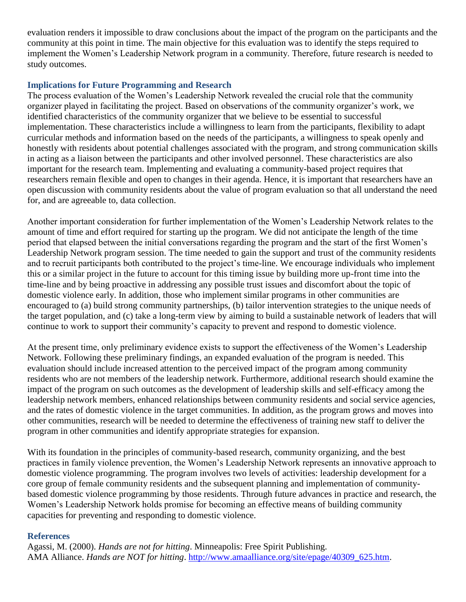evaluation renders it impossible to draw conclusions about the impact of the program on the participants and the community at this point in time. The main objective for this evaluation was to identify the steps required to implement the Women's Leadership Network program in a community. Therefore, future research is needed to study outcomes.

### **Implications for Future Programming and Research**

The process evaluation of the Women's Leadership Network revealed the crucial role that the community organizer played in facilitating the project. Based on observations of the community organizer's work, we identified characteristics of the community organizer that we believe to be essential to successful implementation. These characteristics include a willingness to learn from the participants, flexibility to adapt curricular methods and information based on the needs of the participants, a willingness to speak openly and honestly with residents about potential challenges associated with the program, and strong communication skills in acting as a liaison between the participants and other involved personnel. These characteristics are also important for the research team. Implementing and evaluating a community-based project requires that researchers remain flexible and open to changes in their agenda. Hence, it is important that researchers have an open discussion with community residents about the value of program evaluation so that all understand the need for, and are agreeable to, data collection.

Another important consideration for further implementation of the Women's Leadership Network relates to the amount of time and effort required for starting up the program. We did not anticipate the length of the time period that elapsed between the initial conversations regarding the program and the start of the first Women's Leadership Network program session. The time needed to gain the support and trust of the community residents and to recruit participants both contributed to the project's time-line. We encourage individuals who implement this or a similar project in the future to account for this timing issue by building more up-front time into the time-line and by being proactive in addressing any possible trust issues and discomfort about the topic of domestic violence early. In addition, those who implement similar programs in other communities are encouraged to (a) build strong community partnerships, (b) tailor intervention strategies to the unique needs of the target population, and (c) take a long-term view by aiming to build a sustainable network of leaders that will continue to work to support their community's capacity to prevent and respond to domestic violence.

At the present time, only preliminary evidence exists to support the effectiveness of the Women's Leadership Network. Following these preliminary findings, an expanded evaluation of the program is needed. This evaluation should include increased attention to the perceived impact of the program among community residents who are not members of the leadership network. Furthermore, additional research should examine the impact of the program on such outcomes as the development of leadership skills and self-efficacy among the leadership network members, enhanced relationships between community residents and social service agencies, and the rates of domestic violence in the target communities. In addition, as the program grows and moves into other communities, research will be needed to determine the effectiveness of training new staff to deliver the program in other communities and identify appropriate strategies for expansion.

With its foundation in the principles of community-based research, community organizing, and the best practices in family violence prevention, the Women's Leadership Network represents an innovative approach to domestic violence programming. The program involves two levels of activities: leadership development for a core group of female community residents and the subsequent planning and implementation of communitybased domestic violence programming by those residents. Through future advances in practice and research, the Women's Leadership Network holds promise for becoming an effective means of building community capacities for preventing and responding to domestic violence.

### **References**

Agassi, M. (2000). *Hands are not for hitting*. Minneapolis: Free Spirit Publishing. AMA Alliance. *Hands are NOT for hitting*. [http://www.amaalliance.org/site/epage/40309\\_625.htm.](http://www.amaalliance.org/site/epage/40309_625.htm)